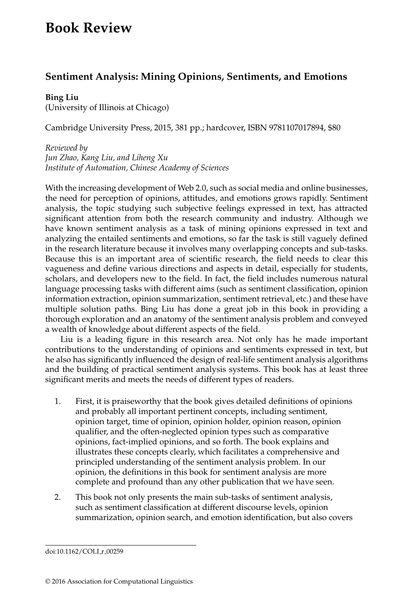## **Book Review**

## **Sentiment Analysis: Mining Opinions, Sentiments, and Emotions**

## **Bing Liu**

(University of Illinois at Chicago)

Cambridge University Press, 2015, 381 pp.; hardcover, ISBN 9781107017894, \$80

## *Reviewed by Jun Zhao, Kang Liu, and Liheng Xu Institute of Automation, Chinese Academy of Sciences*

With the increasing development of Web 2.0, such as social media and online businesses, the need for perception of opinions, attitudes, and emotions grows rapidly. Sentiment analysis, the topic studying such subjective feelings expressed in text, has attracted significant attention from both the research community and industry. Although we have known sentiment analysis as a task of mining opinions expressed in text and analyzing the entailed sentiments and emotions, so far the task is still vaguely defined in the research literature because it involves many overlapping concepts and sub-tasks. Because this is an important area of scientific research, the field needs to clear this vagueness and define various directions and aspects in detail, especially for students, scholars, and developers new to the field. In fact, the field includes numerous natural language processing tasks with different aims (such as sentiment classification, opinion information extraction, opinion summarization, sentiment retrieval, etc.) and these have multiple solution paths. Bing Liu has done a great job in this book in providing a thorough exploration and an anatomy of the sentiment analysis problem and conveyed a wealth of knowledge about different aspects of the field.

Liu is a leading figure in this research area. Not only has he made important contributions to the understanding of opinions and sentiments expressed in text, but he also has significantly influenced the design of real-life sentiment analysis algorithms and the building of practical sentiment analysis systems. This book has at least three significant merits and meets the needs of different types of readers.

- 1. First, it is praiseworthy that the book gives detailed definitions of opinions and probably all important pertinent concepts, including sentiment, opinion target, time of opinion, opinion holder, opinion reason, opinion qualifier, and the often-neglected opinion types such as comparative opinions, fact-implied opinions, and so forth. The book explains and illustrates these concepts clearly, which facilitates a comprehensive and principled understanding of the sentiment analysis problem. In our opinion, the definitions in this book for sentiment analysis are more complete and profound than any other publication that we have seen.
- 2. This book not only presents the main sub-tasks of sentiment analysis, such as sentiment classification at different discourse levels, opinion summarization, opinion search, and emotion identification, but also covers

doi:10.1162/COLI\_r\_00259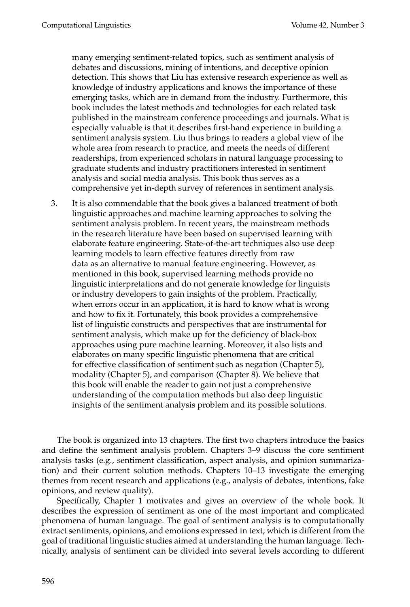many emerging sentiment-related topics, such as sentiment analysis of debates and discussions, mining of intentions, and deceptive opinion detection. This shows that Liu has extensive research experience as well as knowledge of industry applications and knows the importance of these emerging tasks, which are in demand from the industry. Furthermore, this book includes the latest methods and technologies for each related task published in the mainstream conference proceedings and journals. What is especially valuable is that it describes first-hand experience in building a sentiment analysis system. Liu thus brings to readers a global view of the whole area from research to practice, and meets the needs of different readerships, from experienced scholars in natural language processing to graduate students and industry practitioners interested in sentiment analysis and social media analysis. This book thus serves as a comprehensive yet in-depth survey of references in sentiment analysis.

3. It is also commendable that the book gives a balanced treatment of both linguistic approaches and machine learning approaches to solving the sentiment analysis problem. In recent years, the mainstream methods in the research literature have been based on supervised learning with elaborate feature engineering. State-of-the-art techniques also use deep learning models to learn effective features directly from raw data as an alternative to manual feature engineering. However, as mentioned in this book, supervised learning methods provide no linguistic interpretations and do not generate knowledge for linguists or industry developers to gain insights of the problem. Practically, when errors occur in an application, it is hard to know what is wrong and how to fix it. Fortunately, this book provides a comprehensive list of linguistic constructs and perspectives that are instrumental for sentiment analysis, which make up for the deficiency of black-box approaches using pure machine learning. Moreover, it also lists and elaborates on many specific linguistic phenomena that are critical for effective classification of sentiment such as negation (Chapter 5), modality (Chapter 5), and comparison (Chapter 8). We believe that this book will enable the reader to gain not just a comprehensive understanding of the computation methods but also deep linguistic insights of the sentiment analysis problem and its possible solutions.

The book is organized into 13 chapters. The first two chapters introduce the basics and define the sentiment analysis problem. Chapters 3–9 discuss the core sentiment analysis tasks (e.g., sentiment classification, aspect analysis, and opinion summarization) and their current solution methods. Chapters 10–13 investigate the emerging themes from recent research and applications (e.g., analysis of debates, intentions, fake opinions, and review quality).

Specifically, Chapter 1 motivates and gives an overview of the whole book. It describes the expression of sentiment as one of the most important and complicated phenomena of human language. The goal of sentiment analysis is to computationally extract sentiments, opinions, and emotions expressed in text, which is different from the goal of traditional linguistic studies aimed at understanding the human language. Technically, analysis of sentiment can be divided into several levels according to different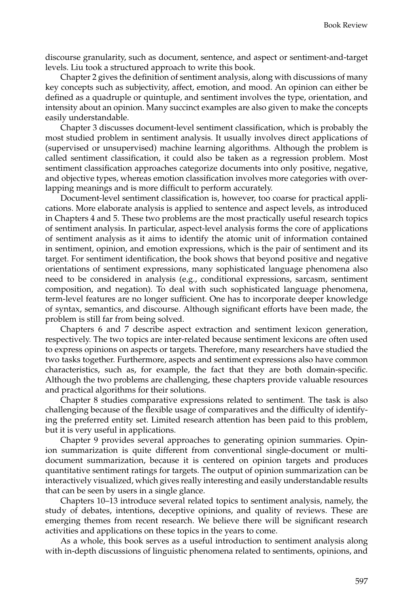discourse granularity, such as document, sentence, and aspect or sentiment-and-target levels. Liu took a structured approach to write this book.

Chapter 2 gives the definition of sentiment analysis, along with discussions of many key concepts such as subjectivity, affect, emotion, and mood. An opinion can either be defined as a quadruple or quintuple, and sentiment involves the type, orientation, and intensity about an opinion. Many succinct examples are also given to make the concepts easily understandable.

Chapter 3 discusses document-level sentiment classification, which is probably the most studied problem in sentiment analysis. It usually involves direct applications of (supervised or unsupervised) machine learning algorithms. Although the problem is called sentiment classification, it could also be taken as a regression problem. Most sentiment classification approaches categorize documents into only positive, negative, and objective types, whereas emotion classification involves more categories with overlapping meanings and is more difficult to perform accurately.

Document-level sentiment classification is, however, too coarse for practical applications. More elaborate analysis is applied to sentence and aspect levels, as introduced in Chapters 4 and 5. These two problems are the most practically useful research topics of sentiment analysis. In particular, aspect-level analysis forms the core of applications of sentiment analysis as it aims to identify the atomic unit of information contained in sentiment, opinion, and emotion expressions, which is the pair of sentiment and its target. For sentiment identification, the book shows that beyond positive and negative orientations of sentiment expressions, many sophisticated language phenomena also need to be considered in analysis (e.g., conditional expressions, sarcasm, sentiment composition, and negation). To deal with such sophisticated language phenomena, term-level features are no longer sufficient. One has to incorporate deeper knowledge of syntax, semantics, and discourse. Although significant efforts have been made, the problem is still far from being solved.

Chapters 6 and 7 describe aspect extraction and sentiment lexicon generation, respectively. The two topics are inter-related because sentiment lexicons are often used to express opinions on aspects or targets. Therefore, many researchers have studied the two tasks together. Furthermore, aspects and sentiment expressions also have common characteristics, such as, for example, the fact that they are both domain-specific. Although the two problems are challenging, these chapters provide valuable resources and practical algorithms for their solutions.

Chapter 8 studies comparative expressions related to sentiment. The task is also challenging because of the flexible usage of comparatives and the difficulty of identifying the preferred entity set. Limited research attention has been paid to this problem, but it is very useful in applications.

Chapter 9 provides several approaches to generating opinion summaries. Opinion summarization is quite different from conventional single-document or multidocument summarization, because it is centered on opinion targets and produces quantitative sentiment ratings for targets. The output of opinion summarization can be interactively visualized, which gives really interesting and easily understandable results that can be seen by users in a single glance.

Chapters 10–13 introduce several related topics to sentiment analysis, namely, the study of debates, intentions, deceptive opinions, and quality of reviews. These are emerging themes from recent research. We believe there will be significant research activities and applications on these topics in the years to come.

As a whole, this book serves as a useful introduction to sentiment analysis along with in-depth discussions of linguistic phenomena related to sentiments, opinions, and